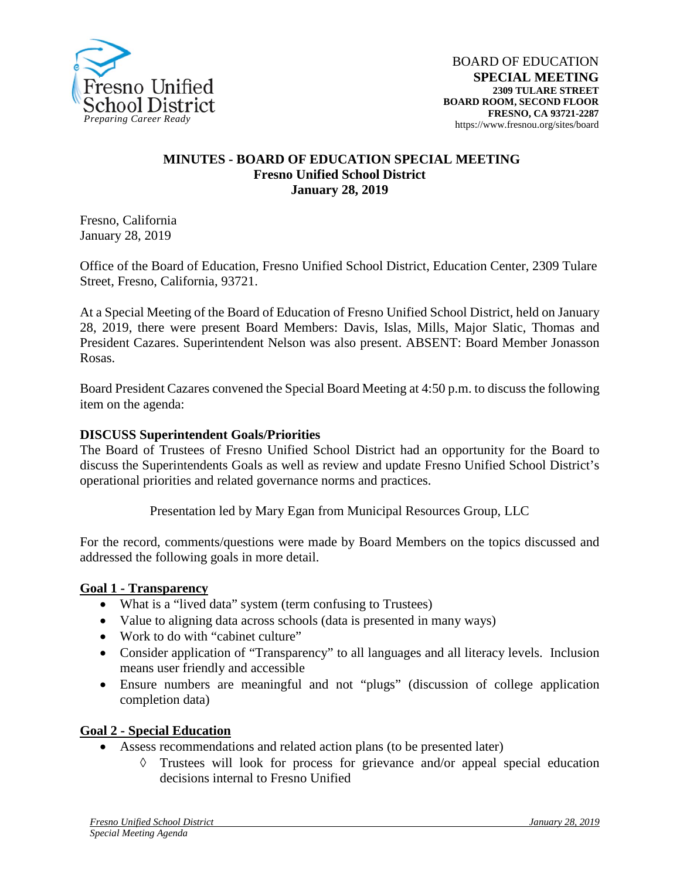

#### **MINUTES - BOARD OF EDUCATION SPECIAL MEETING Fresno Unified School District January 28, 2019**

Fresno, California January 28, 2019

Office of the Board of Education, Fresno Unified School District, Education Center, 2309 Tulare Street, Fresno, California, 93721.

At a Special Meeting of the Board of Education of Fresno Unified School District, held on January 28, 2019, there were present Board Members: Davis, Islas, Mills, Major Slatic, Thomas and President Cazares. Superintendent Nelson was also present. ABSENT: Board Member Jonasson Rosas.

Board President Cazares convened the Special Board Meeting at 4:50 p.m. to discuss the following item on the agenda:

#### **DISCUSS Superintendent Goals/Priorities**

The Board of Trustees of Fresno Unified School District had an opportunity for the Board to discuss the Superintendents Goals as well as review and update Fresno Unified School District's operational priorities and related governance norms and practices.

Presentation led by Mary Egan from Municipal Resources Group, LLC

For the record, comments/questions were made by Board Members on the topics discussed and addressed the following goals in more detail.

#### **Goal 1 - Transparency**

- What is a "lived data" system (term confusing to Trustees)
- Value to aligning data across schools (data is presented in many ways)
- Work to do with "cabinet culture"
- Consider application of "Transparency" to all languages and all literacy levels. Inclusion means user friendly and accessible
- Ensure numbers are meaningful and not "plugs" (discussion of college application completion data)

#### **Goal 2 - Special Education**

- Assess recommendations and related action plans (to be presented later)
	- Trustees will look for process for grievance and/or appeal special education decisions internal to Fresno Unified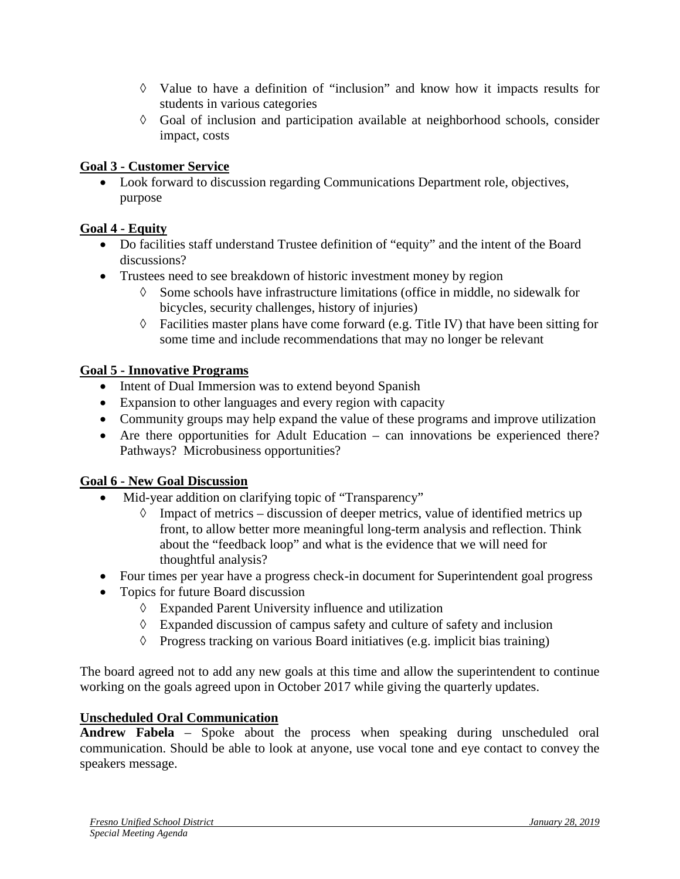- ◊ Value to have a definition of "inclusion" and know how it impacts results for students in various categories
- ◊ Goal of inclusion and participation available at neighborhood schools, consider impact, costs

#### **Goal 3 - Customer Service**

• Look forward to discussion regarding Communications Department role, objectives, purpose

# **Goal 4 - Equity**

- Do facilities staff understand Trustee definition of "equity" and the intent of the Board discussions?
- Trustees need to see breakdown of historic investment money by region
	- ◊ Some schools have infrastructure limitations (office in middle, no sidewalk for bicycles, security challenges, history of injuries)
	- ◊ Facilities master plans have come forward (e.g. Title IV) that have been sitting for some time and include recommendations that may no longer be relevant

# **Goal 5 - Innovative Programs**

- Intent of Dual Immersion was to extend beyond Spanish
- Expansion to other languages and every region with capacity
- Community groups may help expand the value of these programs and improve utilization
- Are there opportunities for Adult Education can innovations be experienced there? Pathways? Microbusiness opportunities?

# **Goal 6 - New Goal Discussion**

- Mid-year addition on clarifying topic of "Transparency"
	- $\Diamond$  Impact of metrics discussion of deeper metrics, value of identified metrics up front, to allow better more meaningful long-term analysis and reflection. Think about the "feedback loop" and what is the evidence that we will need for thoughtful analysis?
- Four times per year have a progress check-in document for Superintendent goal progress
- Topics for future Board discussion
	- ◊ Expanded Parent University influence and utilization
	- ◊ Expanded discussion of campus safety and culture of safety and inclusion
	- ◊ Progress tracking on various Board initiatives (e.g. implicit bias training)

The board agreed not to add any new goals at this time and allow the superintendent to continue working on the goals agreed upon in October 2017 while giving the quarterly updates.

# **Unscheduled Oral Communication**

**Andrew Fabela** – Spoke about the process when speaking during unscheduled oral communication. Should be able to look at anyone, use vocal tone and eye contact to convey the speakers message.